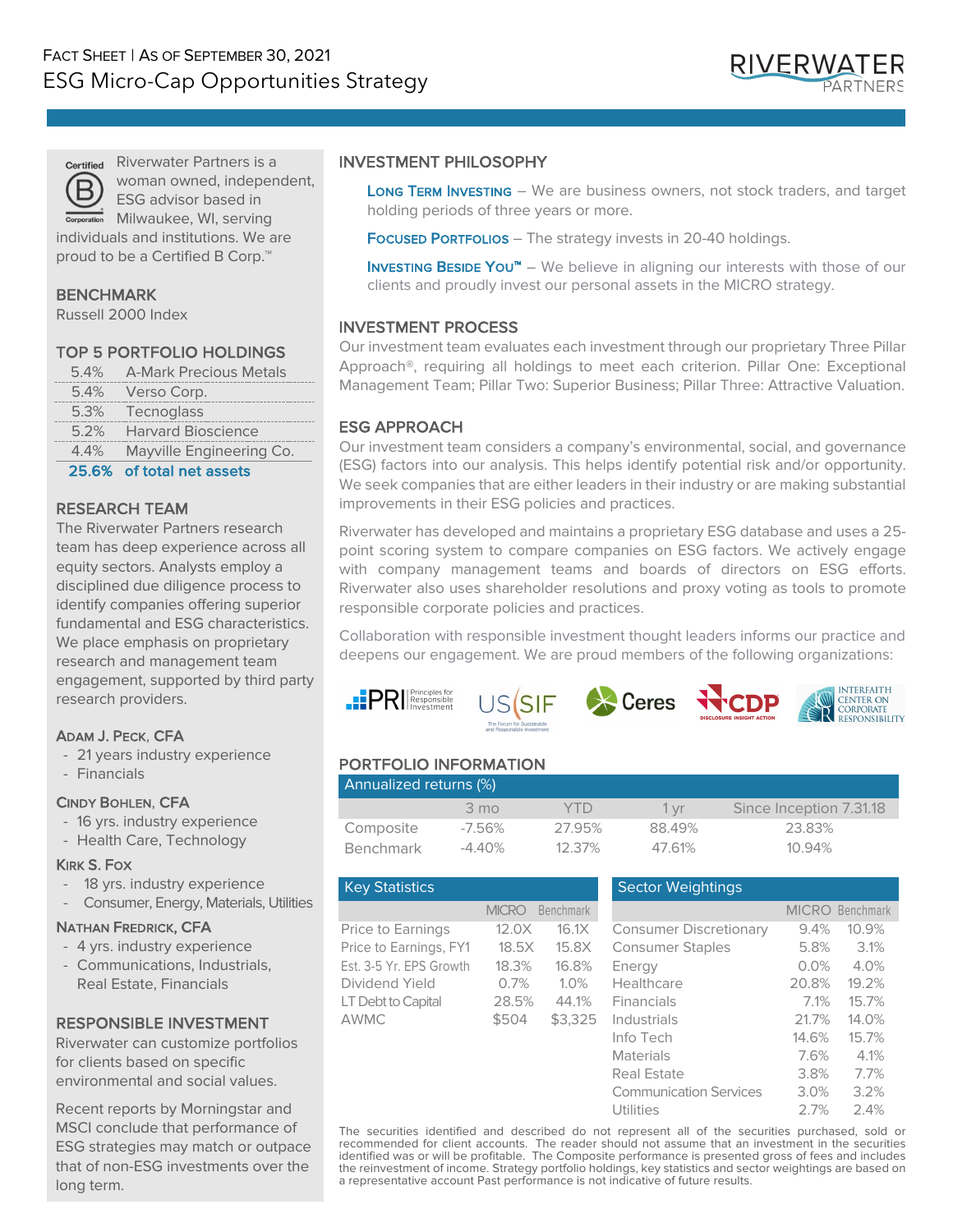

Riverwater Partners is a woman owned, independent, ESG advisor based in

Milwaukee, WI, serving individuals and institutions. We are proud to be a Certified B Corp.<sup>™</sup>

### BENCHMARK

Russell 2000 Index

## TOP 5 PORTFOLIO HOLDINGS

| OF CO | ومقوم ومواجدته المقولاتين   |
|-------|-----------------------------|
| 4.4%  | Mayville Engineering Co.    |
|       | 5.2% Harvard Bioscience     |
|       | 5.3% Tecnoglass             |
|       | 5.4% Verso Corp.            |
|       | 5.4% A-Mark Precious Metals |

#### 25.6% of total net assets

#### RESEARCH TEAM

The Riverwater Partners research team has deep experience across all equity sectors. Analysts employ a disciplined due diligence process to identify companies offering superior fundamental and ESG characteristics. We place emphasis on proprietary research and management team engagement, supported by third party research providers.

## ADAM J. PECK, CFA

- 21 years industry experience
- Financials

#### CINDY BOHLEN, CFA

- 16 yrs. industry experience
- Health Care, Technology

#### KIRK S. FOX

- 18 yrs. industry experience
- Consumer, Energy, Materials, Utilities

#### NATHAN FREDRICK, CFA

- 4 yrs. industry experience
- Communications, Industrials, Real Estate, Financials

## RESPONSIBLE INVESTMENT

Riverwater can customize portfolios for clients based on specific environmental and social values.

Recent reports by Morningstar and MSCI conclude that performance of ESG strategies may match or outpace that of non-ESG investments over the long term.

#### INVESTMENT PHILOSOPHY

LONG TERM INVESTING - We are business owners, not stock traders, and target holding periods of three years or more.

Focused Portrollos - The strategy invests in 20-40 holdings.

**INVESTING BESIDE YOU™** – We believe in aligning our interests with those of our clients and proudly invest our personal assets in the MICRO strategy.

## INVESTMENT PROCESS

Our investment team evaluates each investment through our proprietary Three Pillar Approach®, requiring all holdings to meet each criterion. Pillar One: Exceptional Management Team; Pillar Two: Superior Business; Pillar Three: Attractive Valuation.

## ESG APPROACH

Our investment team considers a company's environmental, social, and governance (ESG) factors into our analysis. This helps identify potential risk and/or opportunity. We seek companies that are either leaders in their industry or are making substantial improvements in their ESG policies and practices.

Riverwater has developed and maintains a proprietary ESG database and uses a 25 point scoring system to compare companies on ESG factors. We actively engage with company management teams and boards of directors on ESG efforts. Riverwater also uses shareholder resolutions and proxy voting as tools to promote responsible corporate policies and practices.

Collaboration with responsible investment thought leaders informs our practice and deepens our engagement. We are proud members of the following organizations:









# PORTFOLIO INFORMATION

| Annualized returns (%) |                |           |        |                         |  |  |  |
|------------------------|----------------|-----------|--------|-------------------------|--|--|--|
|                        | $3 \text{ mo}$ | YID       | 1 vr   | Since Inception 7.31.18 |  |  |  |
| Composite              | -7.56%         | 27.95%    | 88.49% | 23.83%                  |  |  |  |
| Benchmark              | -4.40%         | $12.37\%$ | 47.61% | $10.94\%$               |  |  |  |

| <b>Key Statistics</b>   |              |                  | <b>Sector Weightings</b>      |              |           |
|-------------------------|--------------|------------------|-------------------------------|--------------|-----------|
|                         | <b>MICRO</b> | <b>Benchmark</b> |                               | <b>MICRO</b> | Benchmark |
| Price to Earnings       | 12.0X        | 16.1X            | <b>Consumer Discretionary</b> | 9.4%         | 10.9%     |
| Price to Earnings, FY1  | 18.5X        | 15.8X            | <b>Consumer Staples</b>       | 5.8%         | 3.1%      |
| Est. 3-5 Yr. EPS Growth | 18.3%        | 16.8%            | Energy                        | 0.0%         | 4.0%      |
| Dividend Yield          | 0.7%         | 1.0%             | Healthcare                    | 20.8%        | 19.2%     |
| LT Debt to Capital      | 28.5%        | 44.1%            | Financials                    | 7.1%         | 15.7%     |
| AWMC                    | \$504        | \$3.325          | Industrials                   | 21.7%        | 14.0%     |
|                         |              |                  | Info Tech                     | 14.6%        | 15.7%     |
|                         |              |                  | <b>Materials</b>              | 7.6%         | 4.1%      |
|                         |              |                  | <b>Real Estate</b>            | 3.8%         | 7.7%      |
|                         |              |                  | <b>Communication Services</b> | 3.0%         | 3.2%      |
|                         |              |                  | <b>Utilities</b>              | 2.7%         | 2.4%      |
|                         |              |                  |                               |              |           |

The securities identified and described do not represent all of the securities purchased, sold or recommended for client accounts. The reader should not assume that an investment in the securities identified was or will be profitable. The Composite performance is presented gross of fees and includes the reinvestment of income. Strategy portfolio holdings, key statistics and sector weightings are based on a representative account Past performance is not indicative of future results.